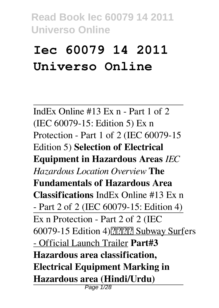# **Iec 60079 14 2011 Universo Online**

IndEx Online #13 Ex n - Part 1 of 2 (IEC 60079-15: Edition 5) Ex n Protection - Part 1 of 2 (IEC 60079-15 Edition 5) **Selection of Electrical Equipment in Hazardous Areas** *IEC Hazardous Location Overview* **The Fundamentals of Hazardous Area Classifications** IndEx Online #13 Ex n - Part 2 of 2 (IEC 60079-15: Edition 4) Ex n Protection - Part 2 of 2 (IEC 60079-15 Edition 4) ????????? Subway Surfers - Official Launch Trailer **Part#3 Hazardous area classification, Electrical Equipment Marking in Hazardous area (Hindi/Urdu)** Page 1/28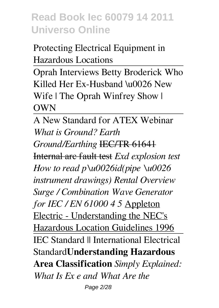Protecting Electrical Equipment in Hazardous Locations

Oprah Interviews Betty Broderick Who Killed Her Ex-Husband \u0026 New Wife | The Oprah Winfrey Show | **OWN** 

A New Standard for ATEX Webinar *What is Ground? Earth Ground/Earthing* IEC/TR 61641 Internal arc fault test *Exd explosion test How to read p\u0026id(pipe \u0026 instrument drawings) Rental Overview Surge / Combination Wave Generator for IEC / EN 61000 4 5* Appleton Electric - Understanding the NEC's Hazardous Location Guidelines 1996 IEC Standard || International Electrical Standard**Understanding Hazardous Area Classification** *Simply Explained: What Is Ex e and What Are the* Page 2/28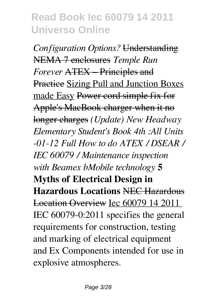*Configuration Options?* Understanding NEMA 7 enclosures *Temple Run Forever* ATEX – Principles and Practice Sizing Pull and Junction Boxes made Easy Power cord simple fix for Apple's MacBook charger when it no longer charges *(Update) New Headway Elementary Student's Book 4th :All Units -01-12 Full How to do ATEX / DSEAR / IEC 60079 / Maintenance inspection with Beamex bMobile technology* **5 Myths of Electrical Design in Hazardous Locations** NEC Hazardous Location Overview Iec 60079 14 2011 IEC 60079-0:2011 specifies the general requirements for construction, testing and marking of electrical equipment and Ex Components intended for use in explosive atmospheres.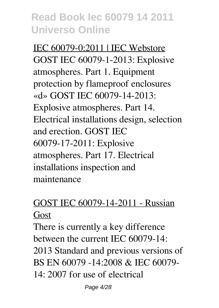IEC 60079-0:2011 | IEC Webstore GOST IEC 60079-1-2013: Explosive atmospheres. Part 1. Equipment protection by flameproof enclosures «d» GOST IEC 60079-14-2013: Explosive atmospheres. Part 14. Electrical installations design, selection and erection. GOST IEC 60079-17-2011: Explosive atmospheres. Part 17. Electrical installations inspection and maintenance

#### GOST IEC 60079-14-2011 - Russian Gost

There is currently a key difference between the current IEC 60079-14: 2013 Standard and previous versions of BS EN 60079 -14:2008 & IEC 60079- 14: 2007 for use of electrical

Page 4/28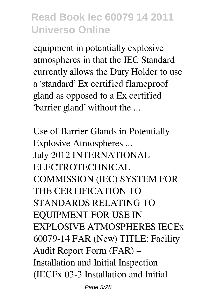equipment in potentially explosive atmospheres in that the IEC Standard currently allows the Duty Holder to use a 'standard' Ex certified flameproof gland as opposed to a Ex certified 'barrier gland' without the ...

Use of Barrier Glands in Potentially Explosive Atmospheres ... July 2012 INTERNATIONAL ELECTROTECHNICAL COMMISSION (IEC) SYSTEM FOR THE CERTIFICATION TO STANDARDS RELATING TO EQUIPMENT FOR USE IN EXPLOSIVE ATMOSPHERES IECEx 60079-14 FAR (New) TITLE: Facility Audit Report Form (FAR) – Installation and Initial Inspection (IECEx 03-3 Installation and Initial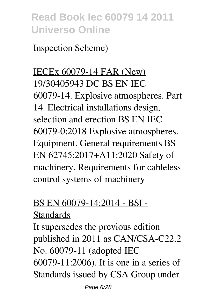Inspection Scheme)

IECEx 60079-14 FAR (New) 19/30405943 DC BS EN IEC 60079-14. Explosive atmospheres. Part 14. Electrical installations design, selection and erection BS EN IEC 60079-0:2018 Explosive atmospheres. Equipment. General requirements BS EN 62745:2017+A11:2020 Safety of machinery. Requirements for cableless control systems of machinery

#### BS EN 60079-14:2014 - BSI -

#### **Standards**

It supersedes the previous edition published in 2011 as CAN/CSA-C22.2 No. 60079-11 (adopted IEC 60079-11:2006). It is one in a series of Standards issued by CSA Group under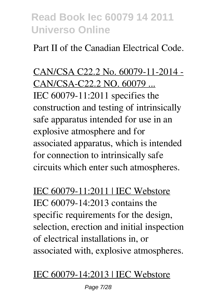Part II of the Canadian Electrical Code.

CAN/CSA C22.2 No. 60079-11-2014 - CAN/CSA-C22.2 NO. 60079 ... IEC 60079-11:2011 specifies the construction and testing of intrinsically safe apparatus intended for use in an explosive atmosphere and for associated apparatus, which is intended for connection to intrinsically safe circuits which enter such atmospheres.

IEC 60079-11:2011 | IEC Webstore IEC 60079-14:2013 contains the specific requirements for the design, selection, erection and initial inspection of electrical installations in, or associated with, explosive atmospheres.

#### IEC 60079-14:2013 | IEC Webstore

Page 7/28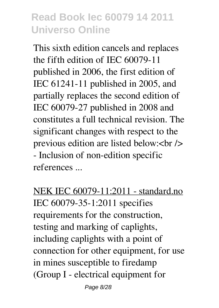This sixth edition cancels and replaces the fifth edition of IEC 60079-11 published in 2006, the first edition of IEC 61241-11 published in 2005, and partially replaces the second edition of IEC 60079-27 published in 2008 and constitutes a full technical revision. The significant changes with respect to the previous edition are listed below: $\langle$ br $\rangle$ > - Inclusion of non-edition specific references ...

NEK IEC 60079-11:2011 - standard.no IEC 60079-35-1:2011 specifies requirements for the construction, testing and marking of caplights, including caplights with a point of connection for other equipment, for use in mines susceptible to firedamp (Group I - electrical equipment for

Page 8/28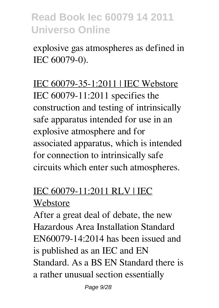explosive gas atmospheres as defined in IEC 60079-0).

IEC 60079-35-1:2011 | IEC Webstore IEC 60079-11:2011 specifies the construction and testing of intrinsically safe apparatus intended for use in an explosive atmosphere and for associated apparatus, which is intended for connection to intrinsically safe circuits which enter such atmospheres.

#### IEC 60079-11:2011 RLV | IEC Webstore

After a great deal of debate, the new Hazardous Area Installation Standard EN60079-14:2014 has been issued and is published as an IEC and EN Standard. As a BS EN Standard there is a rather unusual section essentially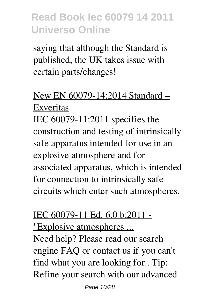saying that although the Standard is published, the UK takes issue with certain parts/changes!

#### New EN 60079-14:2014 Standard – Exveritas

IEC 60079-11:2011 specifies the construction and testing of intrinsically safe apparatus intended for use in an explosive atmosphere and for associated apparatus, which is intended for connection to intrinsically safe circuits which enter such atmospheres.

# IEC 60079-11 Ed. 6.0 b:2011 -

"Explosive atmospheres ...

Need help? Please read our search engine FAQ or contact us if you can't find what you are looking for.. Tip: Refine your search with our advanced

Page 10/28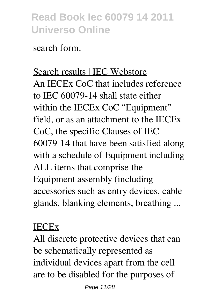search form.

Search results | IEC Webstore An IECEx CoC that includes reference to IEC 60079-14 shall state either within the IECEx CoC "Equipment" field, or as an attachment to the IECEx CoC, the specific Clauses of IEC 60079-14 that have been satisfied along with a schedule of Equipment including ALL items that comprise the Equipment assembly (including accessories such as entry devices, cable glands, blanking elements, breathing ...

#### IECEx

All discrete protective devices that can be schematically represented as individual devices apart from the cell are to be disabled for the purposes of

Page 11/28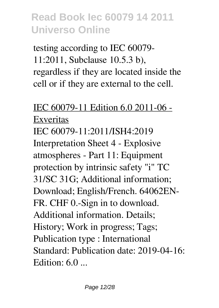testing according to IEC 60079- 11:2011, Subclause 10.5.3 b), regardless if they are located inside the cell or if they are external to the cell.

#### IEC 60079-11 Edition 6.0 2011-06 - Exveritas IEC 60079-11:2011/ISH4:2019 Interpretation Sheet 4 - Explosive atmospheres - Part 11: Equipment protection by intrinsic safety "i" TC 31/SC 31G; Additional information; Download; English/French. 64062EN-FR. CHF 0.-Sign in to download. Additional information. Details; History; Work in progress; Tags; Publication type : International Standard: Publication date: 2019-04-16: Edition: 6.0 ...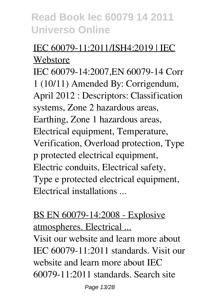#### IEC 60079-11:2011/ISH4:2019 | IEC Webstore

IEC 60079-14:2007,EN 60079-14 Corr 1 (10/11) Amended By: Corrigendum, April 2012 : Descriptors: Classification systems, Zone 2 hazardous areas, Earthing, Zone 1 hazardous areas, Electrical equipment, Temperature, Verification, Overload protection, Type p protected electrical equipment, Electric conduits, Electrical safety, Type e protected electrical equipment, Electrical installations ...

#### BS EN 60079-14:2008 - Explosive atmospheres. Electrical ...

Visit our website and learn more about IEC 60079-11:2011 standards. Visit our website and learn more about IEC 60079-11:2011 standards. Search site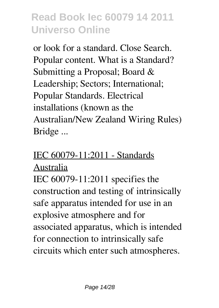or look for a standard. Close Search. Popular content. What is a Standard? Submitting a Proposal; Board & Leadership; Sectors; International; Popular Standards. Electrical installations (known as the Australian/New Zealand Wiring Rules) Bridge ...

#### IEC 60079-11:2011 - Standards

#### Australia

IEC 60079-11:2011 specifies the construction and testing of intrinsically safe apparatus intended for use in an explosive atmosphere and for associated apparatus, which is intended for connection to intrinsically safe circuits which enter such atmospheres.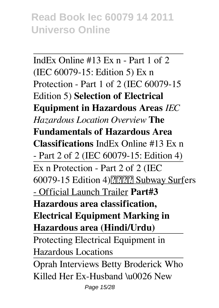IndEx Online #13 Ex n - Part 1 of 2 (IEC 60079-15: Edition 5) Ex n Protection - Part 1 of 2 (IEC 60079-15 Edition 5) **Selection of Electrical Equipment in Hazardous Areas** *IEC Hazardous Location Overview* **The Fundamentals of Hazardous Area Classifications** IndEx Online #13 Ex n - Part 2 of 2 (IEC 60079-15: Edition 4) Ex n Protection - Part 2 of 2 (IEC 60079-15 Edition 4) ????????? Subway Surfers - Official Launch Trailer **Part#3 Hazardous area classification, Electrical Equipment Marking in Hazardous area (Hindi/Urdu)** Protecting Electrical Equipment in Hazardous Locations Oprah Interviews Betty Broderick Who Killed Her Ex-Husband \u0026 New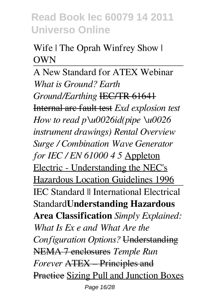#### Wife | The Oprah Winfrey Show | **OWN**

A New Standard for ATEX Webinar *What is Ground? Earth Ground/Earthing* IEC/TR 61641 Internal arc fault test *Exd explosion test How to read p\u0026id(pipe \u0026 instrument drawings) Rental Overview Surge / Combination Wave Generator for IEC / EN 61000 4 5* Appleton Electric - Understanding the NEC's Hazardous Location Guidelines 1996 IEC Standard || International Electrical Standard**Understanding Hazardous Area Classification** *Simply Explained: What Is Ex e and What Are the Configuration Options?* Understanding NEMA 7 enclosures *Temple Run Forever* ATEX – Principles and Practice Sizing Pull and Junction Boxes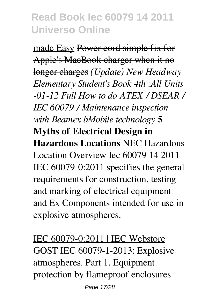made Easy Power cord simple fix for Apple's MacBook charger when it no longer charges *(Update) New Headway Elementary Student's Book 4th :All Units -01-12 Full How to do ATEX / DSEAR / IEC 60079 / Maintenance inspection with Beamex bMobile technology* **5 Myths of Electrical Design in Hazardous Locations** NEC Hazardous Location Overview Iec 60079 14 2011 IEC 60079-0:2011 specifies the general requirements for construction, testing and marking of electrical equipment and Ex Components intended for use in explosive atmospheres.

IEC 60079-0:2011 | IEC Webstore GOST IEC 60079-1-2013: Explosive atmospheres. Part 1. Equipment protection by flameproof enclosures

Page 17/28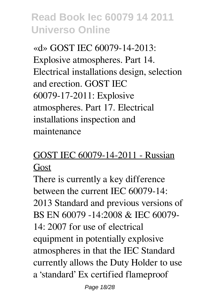«d» GOST IEC 60079-14-2013: Explosive atmospheres. Part 14. Electrical installations design, selection and erection. GOST IEC 60079-17-2011: Explosive atmospheres. Part 17. Electrical installations inspection and maintenance

### GOST IEC 60079-14-2011 - Russian Gost

There is currently a key difference between the current IEC 60079-14: 2013 Standard and previous versions of BS EN 60079 -14:2008 & IEC 60079- 14: 2007 for use of electrical equipment in potentially explosive atmospheres in that the IEC Standard currently allows the Duty Holder to use a 'standard' Ex certified flameproof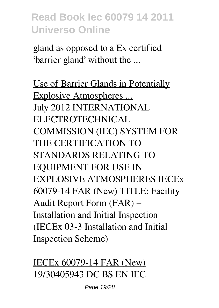gland as opposed to a Ex certified 'barrier gland' without the ...

Use of Barrier Glands in Potentially Explosive Atmospheres ... July 2012 INTERNATIONAL ELECTROTECHNICAL COMMISSION (IEC) SYSTEM FOR THE CERTIFICATION TO STANDARDS RELATING TO EQUIPMENT FOR USE IN EXPLOSIVE ATMOSPHERES IECEx 60079-14 FAR (New) TITLE: Facility Audit Report Form (FAR) – Installation and Initial Inspection (IECEx 03-3 Installation and Initial Inspection Scheme)

IECEx 60079-14 FAR (New) 19/30405943 DC BS EN IEC

Page 19/28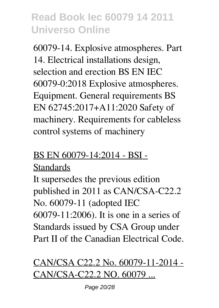60079-14. Explosive atmospheres. Part 14. Electrical installations design, selection and erection BS EN IEC 60079-0:2018 Explosive atmospheres. Equipment. General requirements BS EN 62745:2017+A11:2020 Safety of machinery. Requirements for cableless control systems of machinery

#### BS EN 60079-14:2014 - BSI -

#### **Standards**

It supersedes the previous edition published in 2011 as CAN/CSA-C22.2 No. 60079-11 (adopted IEC 60079-11:2006). It is one in a series of Standards issued by CSA Group under Part II of the Canadian Electrical Code.

### CAN/CSA C22.2 No. 60079-11-2014 - CAN/CSA-C22.2 NO. 60079 ...

Page 20/28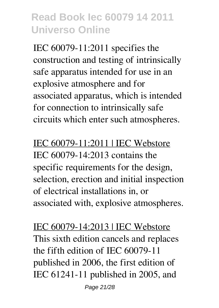IEC 60079-11:2011 specifies the construction and testing of intrinsically safe apparatus intended for use in an explosive atmosphere and for associated apparatus, which is intended for connection to intrinsically safe circuits which enter such atmospheres.

IEC 60079-11:2011 | IEC Webstore IEC 60079-14:2013 contains the specific requirements for the design, selection, erection and initial inspection of electrical installations in, or associated with, explosive atmospheres.

IEC 60079-14:2013 | IEC Webstore This sixth edition cancels and replaces the fifth edition of IEC 60079-11 published in 2006, the first edition of IEC 61241-11 published in 2005, and

Page 21/28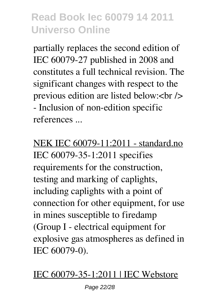partially replaces the second edition of IEC 60079-27 published in 2008 and constitutes a full technical revision. The significant changes with respect to the previous edition are listed below:<br/>  $\epsilon$ /> - Inclusion of non-edition specific references ...

NEK IEC 60079-11:2011 - standard.no IEC 60079-35-1:2011 specifies requirements for the construction, testing and marking of caplights, including caplights with a point of connection for other equipment, for use in mines susceptible to firedamp (Group I - electrical equipment for explosive gas atmospheres as defined in IEC 60079-0).

#### IEC 60079-35-1:2011 | IEC Webstore

Page 22/28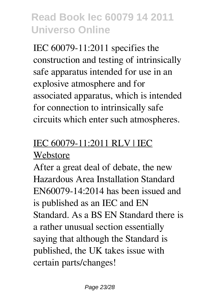IEC 60079-11:2011 specifies the construction and testing of intrinsically safe apparatus intended for use in an explosive atmosphere and for associated apparatus, which is intended for connection to intrinsically safe circuits which enter such atmospheres.

### IEC 60079-11:2011 RLV | IEC Webstore

After a great deal of debate, the new Hazardous Area Installation Standard EN60079-14:2014 has been issued and is published as an IEC and EN Standard. As a BS EN Standard there is a rather unusual section essentially saying that although the Standard is published, the UK takes issue with certain parts/changes!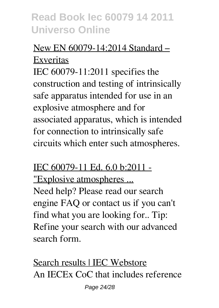#### New EN 60079-14:2014 Standard – Exveritas

IEC 60079-11:2011 specifies the construction and testing of intrinsically safe apparatus intended for use in an explosive atmosphere and for associated apparatus, which is intended for connection to intrinsically safe circuits which enter such atmospheres.

#### IEC 60079-11 Ed. 6.0 b:2011 - "Explosive atmospheres ... Need help? Please read our search engine FAQ or contact us if you can't find what you are looking for.. Tip: Refine your search with our advanced search form.

Search results | IEC Webstore An IECEx CoC that includes reference

Page 24/28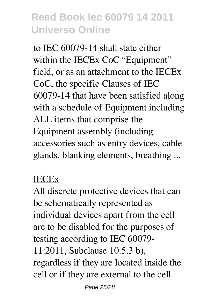to IEC 60079-14 shall state either within the IECEx CoC "Equipment" field, or as an attachment to the IECEx CoC, the specific Clauses of IEC 60079-14 that have been satisfied along with a schedule of Equipment including ALL items that comprise the Equipment assembly (including accessories such as entry devices, cable glands, blanking elements, breathing ...

#### IECEx

All discrete protective devices that can be schematically represented as individual devices apart from the cell are to be disabled for the purposes of testing according to IEC 60079- 11:2011, Subclause 10.5.3 b), regardless if they are located inside the cell or if they are external to the cell.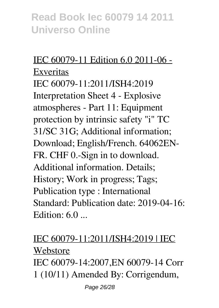#### IEC 60079-11 Edition 6.0 2011-06 - Exveritas IEC 60079-11:2011/ISH4:2019 Interpretation Sheet 4 - Explosive atmospheres - Part 11: Equipment protection by intrinsic safety "i" TC 31/SC 31G; Additional information; Download; English/French. 64062EN-FR. CHF 0.-Sign in to download. Additional information. Details; History; Work in progress; Tags; Publication type : International Standard: Publication date: 2019-04-16: Edition:  $6.0$  ...

#### IEC 60079-11:2011/ISH4:2019 | IEC Webstore

IEC 60079-14:2007,EN 60079-14 Corr 1 (10/11) Amended By: Corrigendum,

Page 26/28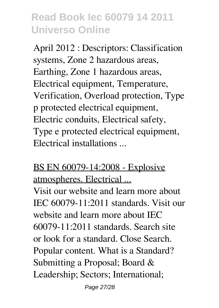April 2012 : Descriptors: Classification systems, Zone 2 hazardous areas, Earthing, Zone 1 hazardous areas, Electrical equipment, Temperature, Verification, Overload protection, Type p protected electrical equipment, Electric conduits, Electrical safety, Type e protected electrical equipment, Electrical installations ...

#### BS EN 60079-14:2008 - Explosive atmospheres. Electrical ...

Visit our website and learn more about IEC 60079-11:2011 standards. Visit our website and learn more about IEC 60079-11:2011 standards. Search site or look for a standard. Close Search. Popular content. What is a Standard? Submitting a Proposal; Board & Leadership; Sectors; International;

Page 27/28